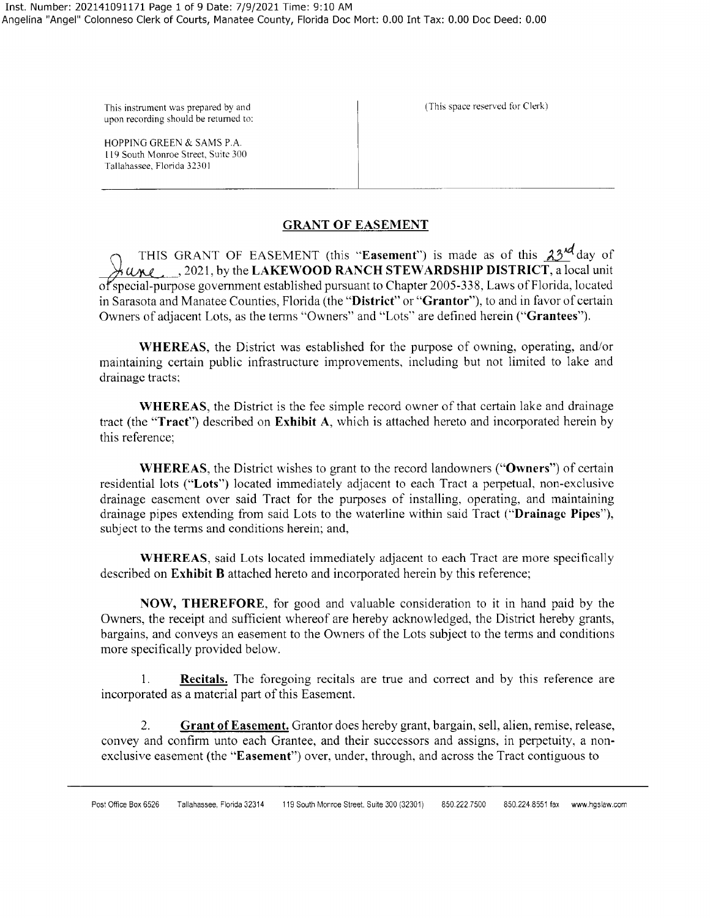upon recording should be returned to:

HOPPING GREEN & SAMS P.A. 119 South Monroe Street, Suite 300 Tallahassee, Florida 32301

This instrument was prepared by and  $\vert$  (This space reserved for Clerk)

## **GRANT OF EASEMENT**

THIS GRANT OF EASEMENT (this "**Easement**") is made as of this  $23^{4d}$  day of %-f , , 2021, by the **LAKEWOOD RANCH STEWARDSHIP DISTRICT,** a local unit of special-purpose government established pursuant to Chapter 2005-338, Laws of Florida, located in Sarasota and Manatee Counties, Florida (the **"District" or "Gran tor"),** to and in favor of certain Owners of adjacent Lots, as the tenns "Owners" and "Lots" are defined herein **("Grantees").** 

**WHEREAS,** the District was established for the purpose of owning, operating, and/or maintaining certain public infrastructure improvements, including but not limited to lake and drainage tracts;

**WHEREAS,** the District is the fee simple record owner of that certain lake and drainage tract (the **"Tract")** described on **Exhibit A,** which is attached hereto and incorporated herein by this reference;

**WHEREAS,** the District wishes to grant to the record landowners **("Owners")** of certain residential lots **("Lots")** located immediately adjacent to each Tract a perpetual, non-exclusive drainage easement over said Tract for the purposes of installing, operating, and maintaining drainage pipes extending from said Lots to the waterline within said Tract **("Drainage Pipes"),**  subject to the terms and conditions herein; and,

**WHEREAS,** said Lots located immediately adjacent to each Tract are more specifically described on **Exhibit B** attached hereto and incorporated herein by this reference;

**NOW, THEREFORE,** for good and valuable consideration to it in hand paid by the Owners, the receipt and sufficient whereof are hereby acknowledged, the District hereby grants, bargains, and conveys an easement to the Owners of the Lots subject to the terms and conditions more specifically provided below.

1. **Recitals.** The foregoing recitals are true and correct and by this reference are incorporated as a material part of this Easement.

2. **Grant of Easement.** Grantor does hereby grant, bargain, sell, alien, remise, release, convey and confirm unto each Grantee, and their successors and assigns, in perpetuity, a nonexclusive easement (the **"Easement")** over, under, through, and across the Tract contiguous to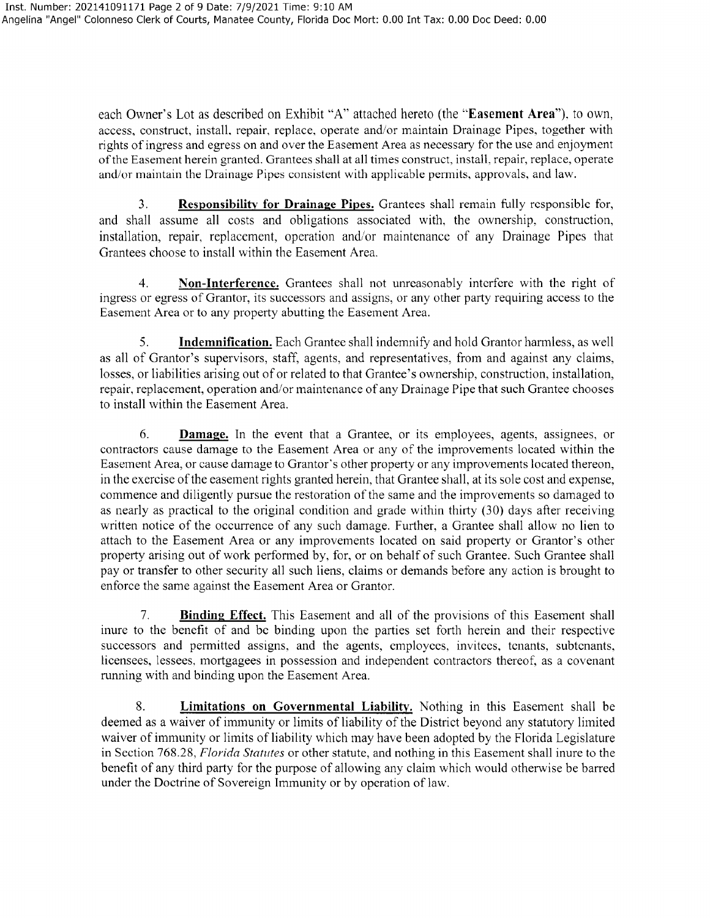each Owner's Lot as described on Exhibit "A" attached hereto (the **"Easement Area"),** to own, access, construct, install, repair, replace, operate and/or maintain Drainage Pipes, together with rights of ingress and egress on and over the Easement Area as necessary for the use and enjoyment ofthe Easement herein granted. Grantees shall at all times construct, install, repair, replace, operate and/or maintain the Drainage Pipes consistent with applicable permits, approvals, and law.

3. **Responsibility for Drainage Pipes.** Grantees shall remain fully responsible for, and shall assume all costs and obligations associated with, the ownership, construction, installation, repair, replacement, operation and/or maintenance of any Drainage Pipes that Grantees choose to install within the Easement Area.

4. **Non-Interference.** Grantees shall not unreasonably interfere with the right of ingress or egress of Grantor, its successors and assigns, or any other party requiring access to the Easement Area or to any property abutting the Easement Area.

5. **Indemnification.** Each Grantee shall indemnify and hold Grantor hannless, as well as all of Grantor's supervisors, staff, agents, and representatives, from and against any claims, losses, or liabilities arising out of or related to that Grantee's ownership, construction, installation, repair, replacement, operation and/or maintenance of any Drainage Pipe that such Grantee chooses to install within the Easement Area.

6. **Damage.** In the event that a Grantee, or its employees, agents, assignees, or contractors cause damage to the Easement Area or any of the improvements located within the Easement Area, or cause damage to Grantor's other property or any improvements located thereon, in the exercise of the easement rights granted herein, that Grantee shall, at its sole cost and expense, commence and diligently pursue the restoration of the same and the improvements so damaged to as nearly as practical to the original condition and grade within thirty (30) days after receiving written notice of the occurrence of any such damage. Further, a Grantee shall allow no lien to attach to the Easement Area or any improvements located on said property or Grantor's other property arising out of work performed by, for, or on behalf of such Grantee. Such Grantee shall pay or transfer to other security all such liens, claims or demands before any action is brought to enforce the same against the Easement Area or Grantor.

7. **Binding Effect.** This Easement and all of the provisions of this Easement shall inure to the benefit of and be binding upon the parties set forth herein and their respective successors and permitted assigns, and the agents, employees, invitees, tenants, subtenants, licensees, lessees, mortgagees in possession and independent contractors thereof, as a covenant running with and binding upon the Easement Area.

8. **Limitations on Governmental Liability.** Nothing in this Easement shall be deemed as a waiver of immunity or limits of liability of the District beyond any statutory limited waiver of immunity or limits of liability which may have been adopted by the Florida Legislature in Section 768.28, *Florida Statutes* or other statute, and nothing in this Easement shall inure to the benefit of any third party for the purpose of allowing any claim which would otherwise be barred under the Doctrine of Sovereign Immunity or by operation of law.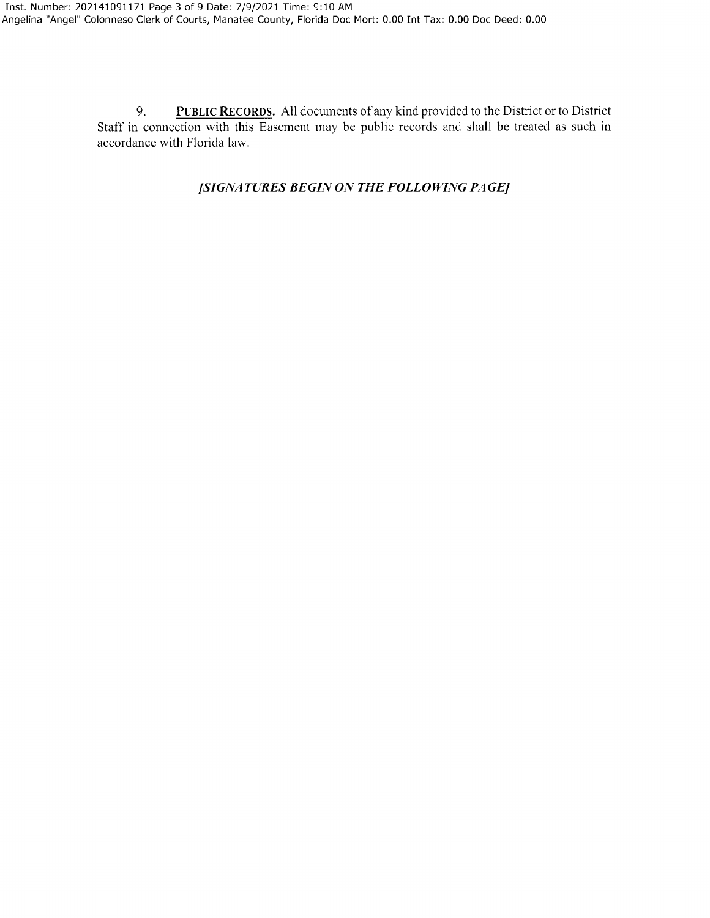9. **PUBLIC RECORDS.** All documents of any kind provided to the District or to District Staff in connection with this Easement may be public records and shall be treated as such in accordance with Florida law.

# */SIGNATURES BEGIN ON THE FOLLOWING PAGE/*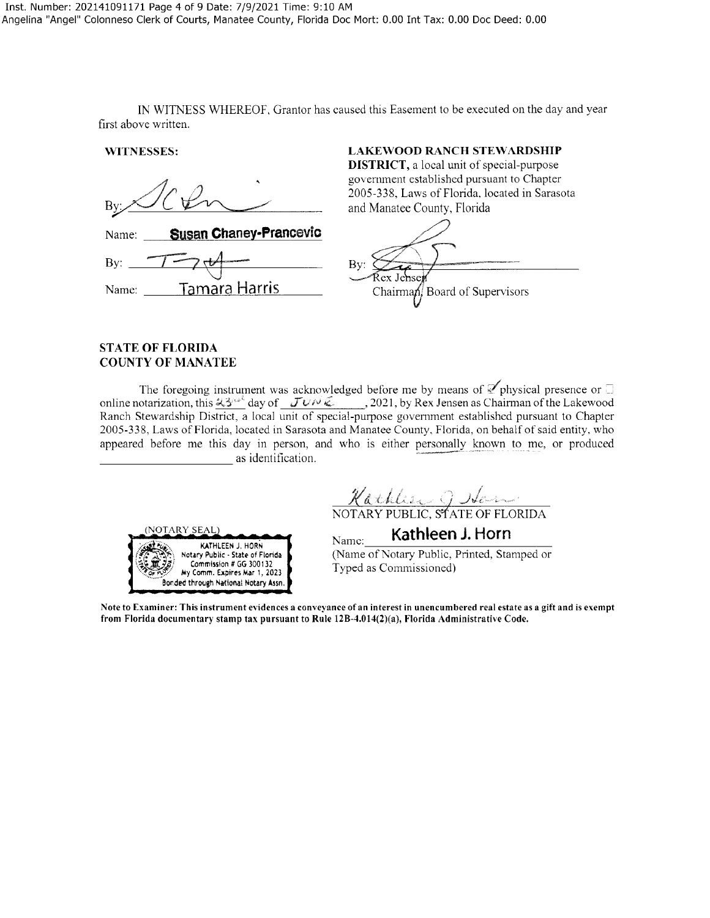IN WITNESS WHEREOF, Grantor has caused this Easement to be executed on the day and year first above written.

**WlTNESSES: LAKEWOOD RANCH STEWARDSHIP** 

Name: **Susan Chaney-Prancevic** By:  $\overline{\phantom{1}}$  By: Name: Tamara Harris - ard of Supervisors

#### **STATE OF FLORIDA COUNTY OF MANATEE**

The foregoing instrument was acknowledged before me by means of  $\mathbb Z$  physical presence or  $\Box$ online notarization, this  $43^{n\ell}$  day of  $J\nu\nu\overline{\nu}$ , 2021, by Rex Jensen as Chairman of the Lakewood Ranch Stewardship District, a local unit of special-purpose government established pursuant to Chapter 2005-338, Laws of Florida, located in Sarasota and Manatee County, Florida, on behalf of said entity, who appeared before me this day in person, and who is either personally known to me, or produced as identification.

<u>Nathlier J Idensen</u><br>NOTARY PUBLIC, STATE OF FLORIDA

**DISTRICT,** a local unit of special-purpose government established pursuant to Chapter 2005-338, Laws of Florida, located in Sarasota

and Manatee County, Florida

**IOTARY SEAL** ~t KATHLEEN J. HORN /~~• **~":i~·,** Notary Public• State of Florida  $My$  Comm. Expires Mar 1, 2023 Bonded throogh National Notary **Assn.**  **Kathleen J. Horn**<br>(Name of Notary Public, Printed, Stamped or Typed as Commissioned)

Note to Examiner: This instrument evidences a conveyance of an interest in unencumbered real estate as a gift and is exempt from Florida documentary stamp tax pursuant to Rule 12B-4.014(2)(a), Florida Administrative Code.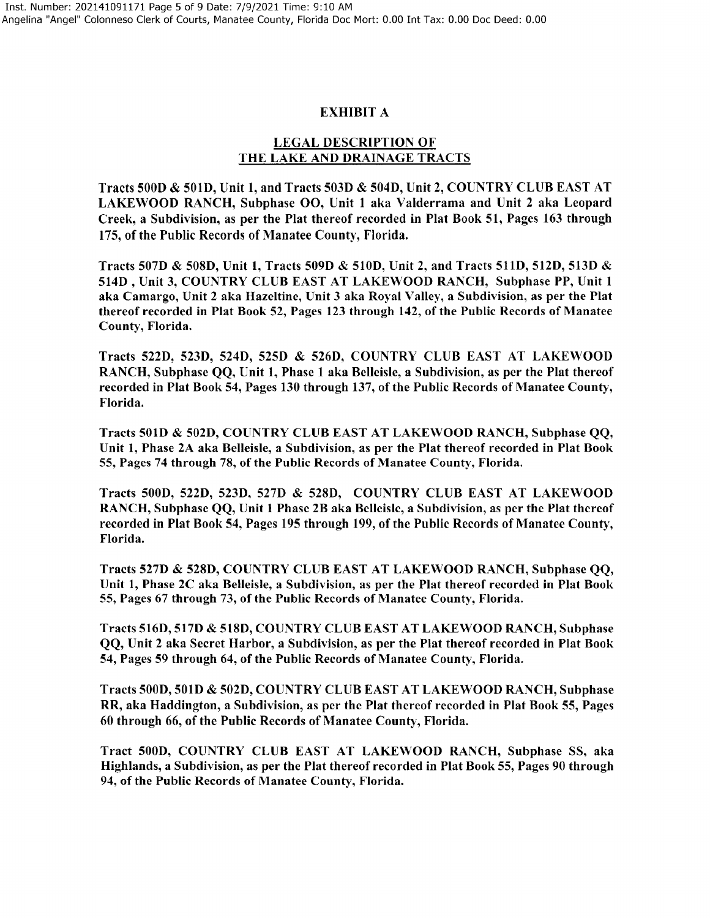#### EXHIBIT A

## LEGAL DESCRIPTION OF THE LAKE AND DRAINAGE TRACTS

Tracts SOOD & 501D, Unit 1, and Tracts 503D & 504D, Unit 2, COUNTRY CLUB EAST AT LAKEWOOD RANCH, Subphase 00, Unit 1 aka Valderrama and Unit 2 aka Leopard Creek, a Subdivision, as per the Plat thereof recorded in Plat Book 51, Pages 163 through 175, of the Public Records of Manatee County, Florida.

Tracts 507D & 508D, Unit 1, Tracts 509D & 510D, Unit 2, and Tracts 511D, 512D, 513D & 514D, Unit 3, COUNTRY CLUB EAST AT LAKEWOOD RANCH, Subphase PP, Unit 1 aka Camargo, Unit 2 aka Hazeltine, Unit 3 aka Royal Valley, a Subdivision, as per the Plat thereof recorded in Plat Book 52, Pages 123 through 142, of the Public Records of Manatee County, Florida.

Tracts 522D, 523D, 524D, 525D & 526D, COUNTRY CLUB EAST AT LAKEWOOD RANCH, Subphase QQ, Unit 1, Phase 1 aka Belleisle, a Subdivision, as per the Plat thereof recorded in Plat Book 54, Pages 130 through 137, of the Public Records of Manatee County, Florida.

Tracts 501D & 502D, COUNTRY CLUB EAST AT LAKEWOOD RANCH, Subphase QQ, Unit 1, Phase 2A aka Belleisle, a Subdivision, as per the Plat thereof recorded in Plat Book 55, Pages 74 through 78, of the Public Records of Manatee County, Florida.

Tracts SOOD, 522D, 523D, 527D & 528D, COUNTRY CLUB EAST AT LAKEWOOD RANCH, Subphase QQ, Unit 1 Phase 2B aka Belleislc, a Subdivision, as per the Plat thereof recorded in Plat Book 54, Pages 195 through 199, of the Public Records of Manatee County, Florida.

Tracts 527D & 528D, COUNTRY CLUB EAST AT LAKEWOOD RANCH, Subphase QQ, Unit 1, Phase 2C aka Belleisle, a Subdivision, as per the Plat thereof recorded in Plat Book 55, Pages 67 through 73, of the Public Records of Manatee County, Florida.

Tracts 516D, 517D & 518D, COUNTRY CLUB EAST AT LAKEWOOD RANCH, Subphase QQ, Unit 2 aka Secret Harbor, a Subdivision, as per the Plat thereof recorded in Plat Book 54, Pages 59 through 64, of the Public Records of Manatee County, Florida.

Tracts SOOD, 501D & 502D, COUNTRY CLUB EAST AT LAKEWOOD RANCH, Subphase **RR,** aka Haddington, a Subdivision, as per the Plat thereof recorded in Plat Book 55, Pages 60 through 66, of the Public Records of Manatee County, Florida.

Tract 500D, COUNTRY CLUB EAST AT LAKEWOOD RANCH, Subphase SS, aka Highlands, a Subdivision, as per the Plat thereof recorded in Plat Book 55, Pages 90 through 94, of the Public Records of Manatee County, Florida.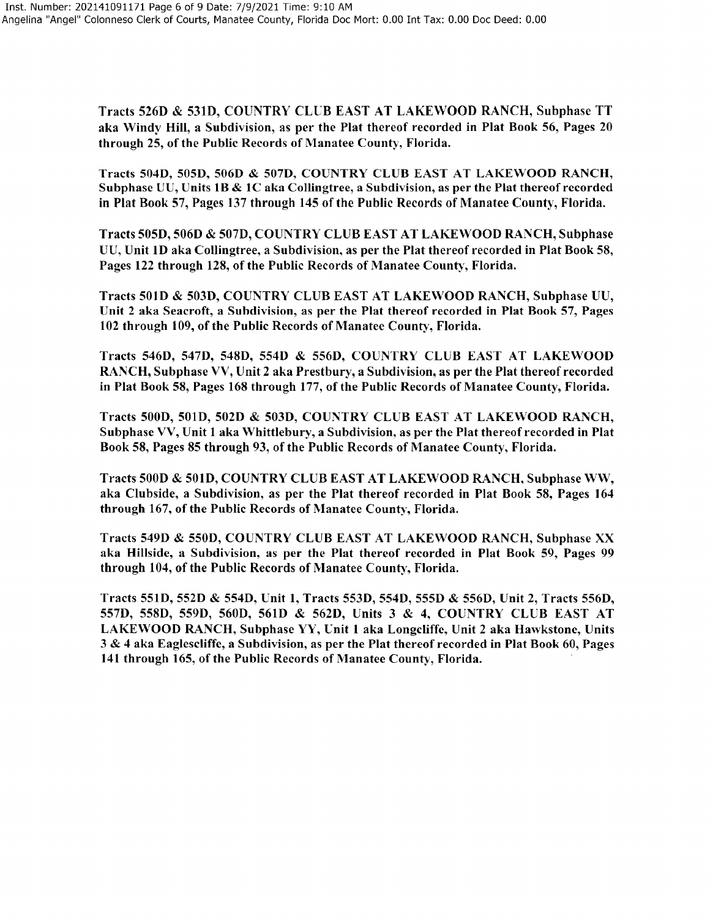Tracts 526D & 531D, COUNTRY CLUB EAST AT LAKEWOOD RANCH, Subphase TT aka Windy Hill, a Subdivision, as per the Plat thereof recorded in Plat Book 56, Pages 20 through 25, of the Public Records of Manatee County, Florida.

Tracts 504D, 505D, 506D & 507D, COUNTRY CLUB EAST AT LAKEWOOD RANCH, Subphase UU, Units **1B** & IC aka Collingtree, a Subdivision, as per the Plat thereof recorded in Plat Book 57, Pages 137 through 145 of the Public Records of Manatee County, Florida.

Tracts 505D, 506D & 507D, COUNTRY CLUB EAST AT LAKEWOOD RANCH, Subphase UU, Unit ID aka Collingtree, a Subdivision, as per the Plat thereof recorded in Plat Book 58, Pages 122 through 128, of the Public Records of Manatee County, Florida.

Tracts 5010 & 5030, COUNTRY CLUB EAST AT LAKEWOOD RANCH, Subphase UU, Unit 2 aka Seacroft, a Subdivision, as per the Plat thereof recorded in Plat Book 57, Pages 102 through 109, of the Public Records of Manatee County, Florida.

Tracts 546D, 547D, 5480, 554D & 5560, COUNTRY CLUB EAST AT LAKEWOOD RANCH, Subphase VV, Unit 2 aka Prestbury, a Subdivision, as per the Plat thereofrecorded in Plat Book 58, Pages 168 through 177, of the Public Records of Manatee County, Florida.

Tracts 5000, 5010, 502D & 5030, COUNTRY CLUB EAST AT LAKEWOOD RANCH, Subphase VV, Unit 1 aka Whittlebury, a Subdivision, as per the Plat thereof recorded in Plat Book 58, Pages 85 through 93, of the Public Records of Manatee County, Florida.

Tracts SOOD & 501D, COUNTRY CLUB EAST AT LAKEWOOD RANCH, Subphase WW, aka Clubside, a Subdivision, as per the Plat thereof recorded in Plat Book 58, Pages 164 through 167, of the Public Records of Manatee County, Florida.

Tracts 5490 & 550D, COUNTRY CLUB EAST AT LAKEWOOD RANCH, Subphase XX aka Hillside, a Subdivision, as per the Plat thereof recorded in Plat Book 59, Pages 99 through 104, of the Public Records of Manatee County, Florida.

Tracts 551D, 552D & 5540, Unit 1, Tracts 553D, 554D, 5550 & 556D, Unit 2, Tracts 556D, 5570, 5580, 559D, 5600, 561D & 5620, Units 3 & 4, COUNTRY CLUB EAST AT LAKEWOOD RANCH, Subphase YY, Unit 1 aka Longcliffe, Unit 2 aka Hawkstone, Units 3 & 4 aka Eaglescliffe, a Subdivision, as per the Plat thereof recorded in Plat Book 60, Pages 141 through 165, of the Public Records of Manatee County, Florida.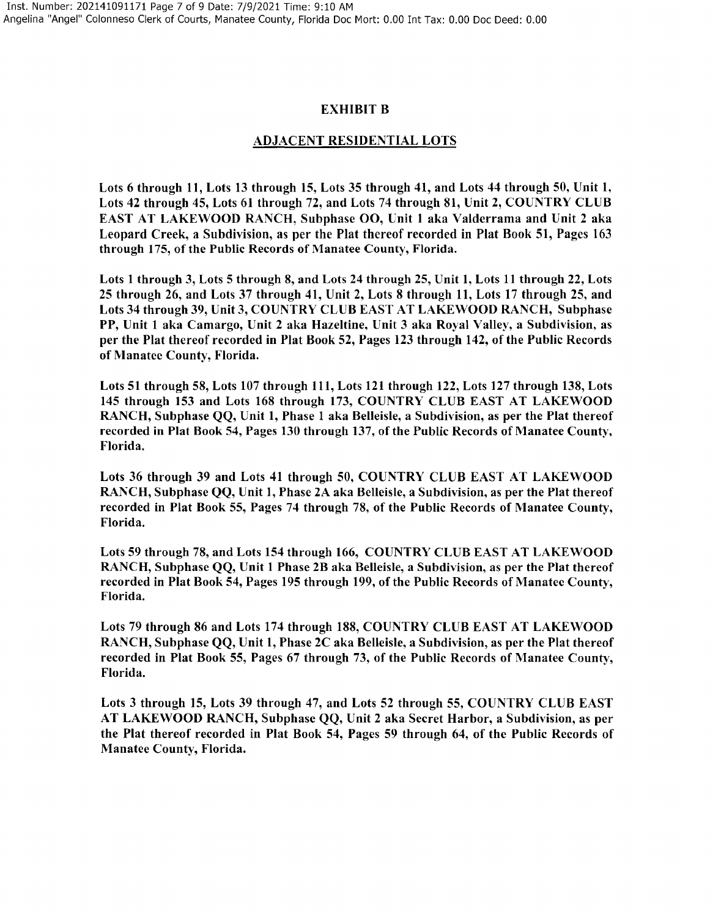## EXHIBIT B

#### ADJACENT RESIDENTIAL LOTS

Lots 6 through 11, Lots 13 through 15, Lots 35 through 41, and Lots 44 through 50, Unit 1, Lots 42 through 45, Lots 61 through 72, and Lots 74 through 81, Unit 2, COUNTRY CLUB EAST AT LAKEWOOD RANCH, Subphase OO, Unit 1 aka Valderrama and Unit 2 aka Leopard Creek, a Subdivision, as per the Plat thereof recorded in Plat Book 51, Pages 163 through 175, of the Public Records of Manatee County, Florida.

Lots 1 through 3, Lots 5 through 8, and Lots 24 through 25, Unit 1, Lots 11 through 22, Lots 25 through 26, and Lots 37 through 41, Unit 2, Lots 8 through 11, Lots 17 through 25, and Lots 34 through 39, Unit 3, COUNTRY CLUB EAST AT LAKEWOOD RANCH, Subphase PP, Unit 1 aka Camargo, Unit 2 aka Hazeltine, Unit 3 aka Royal Valley, a Subdivision, as per the Plat thereof recorded in Plat Book 52, Pages 123 through 142, of the Public Records of Manatee County, Florida.

Lots 51 through 58, Lots 107 through 111, Lots 121 through 122, Lots 127 through 138, Lots 145 through 153 and Lots 168 through 173, COUNTRY CLUB EAST AT LAKEWOOD RANCH, Subphase QQ, Unit 1, Phase 1 aka Belleisle, a Subdivision, as per the Plat thereof recorded in Plat Book 54, Pages 130 through 137, of the Public Records of Manatee County, Florida.

Lots 36 through 39 and Lots 41 through 50, COUNTRY CLUB EAST AT LAKEWOOD RANCH, Subphase OO, Unit 1, Phase 2A aka Belleisle, a Subdivision, as per the Plat thereof recorded in Plat Book 55, Pages 74 through 78, of the Public Records of Manatee County, Florida.

Lots 59 through 78, and Lots 154 through 166, COUNTRY CLUB EAST AT LAKEWOOD RANCH, Subphase QQ, Unit 1 Phase 2B aka Belleisle, a Subdivision, as per the Plat thereof recorded in Plat Book 54, Pages 195 through 199, of the Public Records of Manatee County, Florida.

Lots 79 through 86 and Lots 174 through 188, COUNTRY CLUB EAST AT LAKEWOOD RANCH, Subphase QQ, Unit 1, Phase 2C aka Belleisle, a Subdivision, as per the Plat thereof recorded in Plat Book 55, Pages 67 through 73, of the Public Records of Manatee County, Florida.

Lots 3 through 15, Lots 39 through 47, and Lots 52 through 55, COUNTRY CLUB EAST AT LAKEWOOD RANCH, Subphase QQ, Unit 2 aka Secret Harbor, a Subdivision, as per the Plat thereof recorded in Plat Book 54, Pages 59 through 64, of the Public Records of Manatee County, Florida.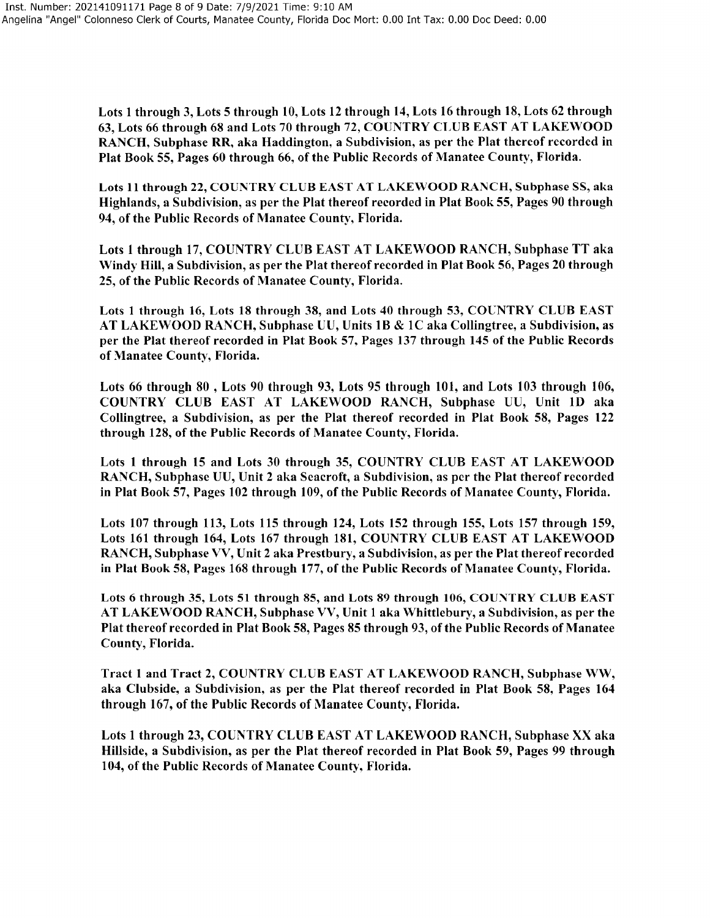Lots 1 through 3, Lots 5 through 10, Lots 12 through 14, Lots 16 through 18, Lots 62 through 63, Lots 66 through 68 and Lots 70 through 72, COUNTRY CLUB EAST AT LAKEWOOD RANCH, Subphase RR, aka Haddington, a Subdivision, as per the Plat thereof recorded in Plat Book 55, Pages 60 through 66, of the Public Records of Manatee County, Florida.

Lots 11 through 22, COUNTRY CLUB EAST AT LAKEWOOD RANCH, Subphase SS, aka Highlands, a Subdivision, as per the Plat thereof recorded in Plat Book 55, Pages 90 through 94, of the Public Records of Manatee County, Florida.

Lots 1 through 17, COUNTRY CLUB EAST AT LAKEWOOD RANCH, Subphase TT aka Windy Hill, a Subdivision, as per the Plat thereof recorded in Plat Book 56, Pages 20 through 25, of the Public Records of Manatee County, Florida.

Lots 1 through 16, Lots 18 through 38, and Lots 40 through 53, COL'NTRY CLUB EAST AT LAKEWOOD RANCH, Subphase UU, Units 1B & 1C aka Collingtree, a Subdivision, as per the Plat thereof recorded in Plat Book 57, Pages 137 through 145 of the Public Records of Manatee County, Florida.

Lots 66 through 80 , Lots 90 through 93, Lots 95 through 101, and Lots 103 through 106, COUNTRY CLUB EAST AT LAKEWOOD RANCH, Subphase UU, Unit 1D aka Collingtree, a Subdivision, as per the Plat thereof recorded in Plat Book 58, Pages 122 through 128, of the Public Records of Manatee County, Florida.

Lots 1 through 15 and Lots 30 through 35, COUNTRY CLUB EAST AT LAKEWOOD RANCH, Subphase UU, Unit 2 aka Seacroft, a Subdivision, as per the Plat thereof recorded in Plat Book 57, Pages 102 through 109, of the Public Records of Manatee County, Florida.

Lots 107 through 113, Lots 115 through 124, Lots 152 through 155, Lots 157 through 159, Lots 161 through 164, Lots 167 through 181, COUNTRY CLUB EAST AT LAKEWOOD RANCH, Subphase VV, Unit 2 aka Prestbury, a Subdivision, as per the Plat thereof recorded in Plat Book 58, Pages 168 through 177, of the Public Records of Manatee County, Florida.

Lots 6 through 35, Lots 51 through 85, and Lots 89 through 106, COUNTRY CLUB EAST AT LAKEWOOD RANCH, Subphase VV, Unit 1 aka Whittlebury, a Subdivision, as per the Plat thereof recorded in Plat Book 58, Pages 85 through 93, of the Public Records of Manatee County, Florida.

Tract 1 and Tract 2, COUNTRY CLUB EAST AT LAKEWOOD RANCH, Subphase WW, aka Clubside, a Subdivision, as per the Plat thereof recorded in Plat Book 58, Pages 164 through 167, of the Public Records of Manatee County, Florida.

Lots 1 through 23, COUNTRY CLUB EAST AT LAKEWOOD RANCH, Subphase XX aka Hillside, a Subdivision, as per the Plat thereof recorded in Plat Book 59, Pages 99 through 104, of the Public Records of Manatee County, Florida.